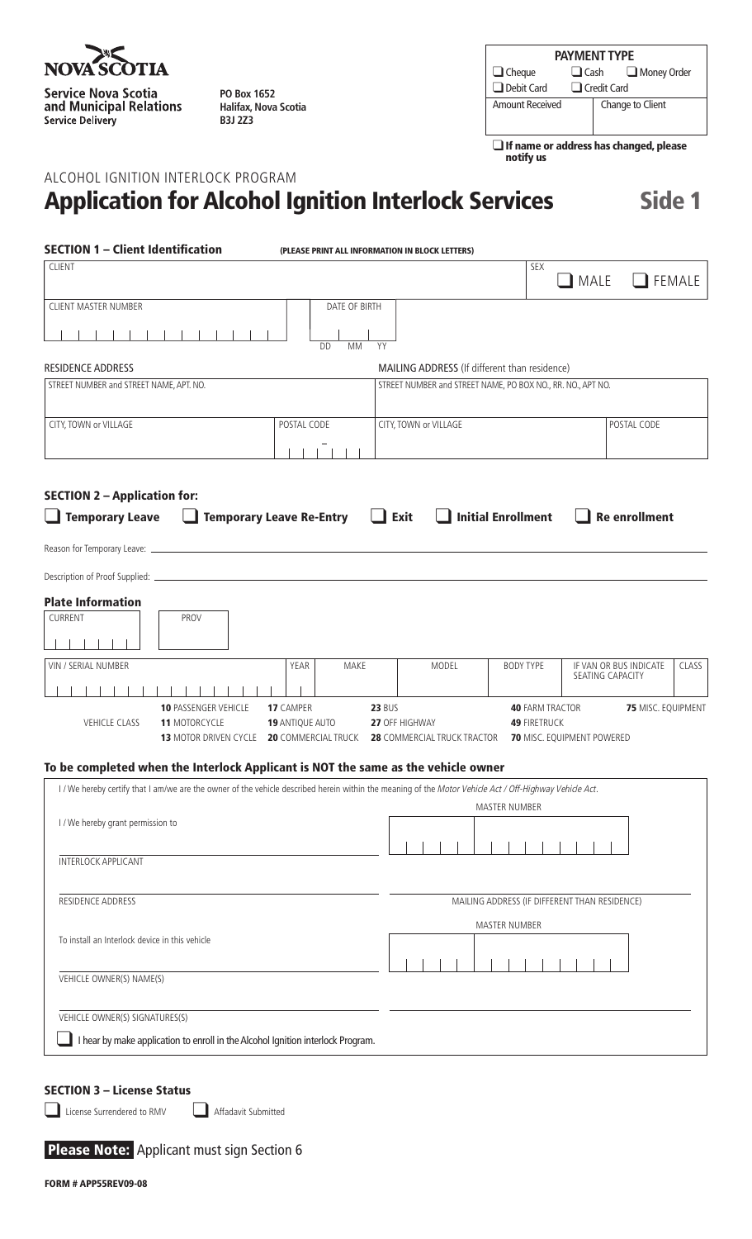

**Service Nova Scotia** and Municipal Relations Service Delivery

**PO Box 1652 Halifax, Nova Scotia B3J 2Z3**

| <b>PAYMENT TYPE</b> |                            |  |                  |  |  |  |
|---------------------|----------------------------|--|------------------|--|--|--|
| $\Box$ Cheque       | $\Box$ Cash<br>Money Order |  |                  |  |  |  |
| Debit Card          | $\Box$ Credit Card         |  |                  |  |  |  |
| Amount Received     |                            |  | Change to Client |  |  |  |
|                     |                            |  |                  |  |  |  |

 $\square$  If name or address has changed, please notify us

# Alcohol Ignition Interlock Program Application for Alcohol Ignition Interlock Services Side 1

| <b>SECTION 1 - Client Identification</b>                                                                                                                                                         |                                                     | (PLEASE PRINT ALL INFORMATION IN BLOCK LETTERS)                |                                               |                                                  |               |
|--------------------------------------------------------------------------------------------------------------------------------------------------------------------------------------------------|-----------------------------------------------------|----------------------------------------------------------------|-----------------------------------------------|--------------------------------------------------|---------------|
| <b>CLIENT</b>                                                                                                                                                                                    |                                                     |                                                                | SEX                                           | $\blacksquare$ MALE                              | <b>FEMALE</b> |
| CLIENT MASTER NUMBER                                                                                                                                                                             | DATE OF BIRTH                                       |                                                                |                                               |                                                  |               |
|                                                                                                                                                                                                  | <b>DD</b><br>MM                                     | YY                                                             |                                               |                                                  |               |
| <b>RESIDENCE ADDRESS</b>                                                                                                                                                                         |                                                     | MAILING ADDRESS (If different than residence)                  |                                               |                                                  |               |
| STREET NUMBER and STREET NAME, APT. NO.                                                                                                                                                          |                                                     | STREET NUMBER and STREET NAME, PO BOX NO., RR. NO., APT NO.    |                                               |                                                  |               |
| CITY, TOWN or VILLAGE                                                                                                                                                                            | POSTAL CODE                                         | CITY, TOWN or VILLAGE                                          |                                               | POSTAL CODE                                      |               |
| <b>SECTION 2 - Application for:</b>                                                                                                                                                              |                                                     |                                                                |                                               |                                                  |               |
| $\Box$ Temporary Leave                                                                                                                                                                           | <b>Temporary Leave Re-Entry</b>                     | $\Box$ Exit                                                    | $\Box$ Initial Enrollment                     | <b>Re enrollment</b>                             |               |
|                                                                                                                                                                                                  |                                                     |                                                                |                                               |                                                  |               |
| <b>Plate Information</b><br>CURRENT<br>PROV                                                                                                                                                      |                                                     |                                                                |                                               |                                                  |               |
| VIN / SERIAL NUMBER                                                                                                                                                                              | MAKE<br>YEAR                                        | MODEL                                                          | <b>BODY TYPE</b>                              | IF VAN OR BUS INDICATE<br>SEATING CAPACITY       | CLASS         |
| <b>10 PASSENGER VEHICLE</b><br><b>VEHICLE CLASS</b><br><b>11 MOTORCYCLE</b><br><b>13 MOTOR DRIVEN CYCLE</b><br>To be completed when the Interlock Applicant is NOT the same as the vehicle owner | 17 CAMPER<br>19 ANTIQUE AUTO<br>20 COMMERCIAL TRUCK | <b>23 BUS</b><br>27 OFF HIGHWAY<br>28 COMMERCIAL TRUCK TRACTOR | <b>40 FARM TRACTOR</b><br><b>49 FIRETRUCK</b> | 75 MISC. EQUIPMENT<br>70 MISC. EQUIPMENT POWERED |               |
| I/We hereby certify that I am/we are the owner of the vehicle described herein within the meaning of the Motor Vehicle Act / Off-Highway Vehicle Act.                                            |                                                     |                                                                |                                               |                                                  |               |
|                                                                                                                                                                                                  |                                                     |                                                                | <b>MASTER NUMBER</b>                          |                                                  |               |
| I / We hereby grant permission to                                                                                                                                                                |                                                     |                                                                |                                               |                                                  |               |
| <b>INTERLOCK APPLICANT</b>                                                                                                                                                                       |                                                     |                                                                |                                               |                                                  |               |
| RESIDENCE ADDRESS                                                                                                                                                                                |                                                     |                                                                |                                               | MAILING ADDRESS (IF DIFFERENT THAN RESIDENCE)    |               |
| To install an Interlock device in this vehicle                                                                                                                                                   |                                                     |                                                                | <b>MASTER NUMBER</b>                          |                                                  |               |
| VEHICLE OWNER(S) NAME(S)                                                                                                                                                                         |                                                     |                                                                |                                               |                                                  |               |
| VEHICLE OWNER(S) SIGNATURES(S)<br>I hear by make application to enroll in the Alcohol Ignition interlock Program.                                                                                |                                                     |                                                                |                                               |                                                  |               |
|                                                                                                                                                                                                  |                                                     |                                                                |                                               |                                                  |               |

## SECTION 3 – License Status

License Surrendered to RMV Affadavit Submitted

#### Please Note: Applicant must sign Section 6